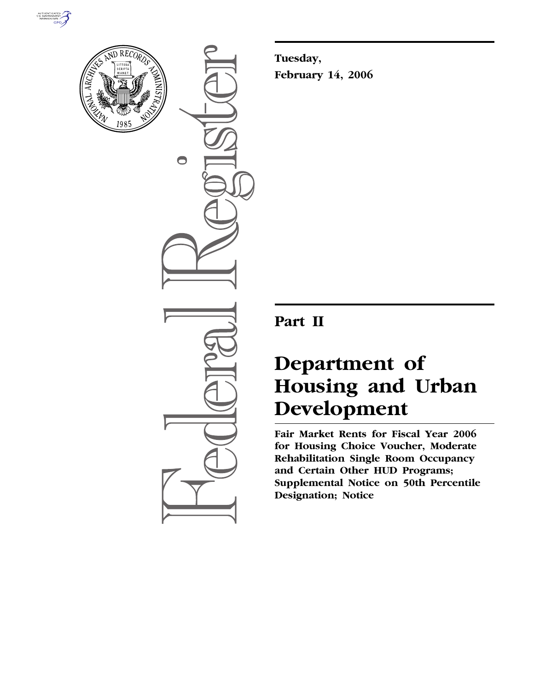



 $\bigcirc$ 

**Tuesday, February 14, 2006** 

# **Part II**

# **Department of Housing and Urban Development**

**Fair Market Rents for Fiscal Year 2006 for Housing Choice Voucher, Moderate Rehabilitation Single Room Occupancy and Certain Other HUD Programs; Supplemental Notice on 50th Percentile Designation; Notice**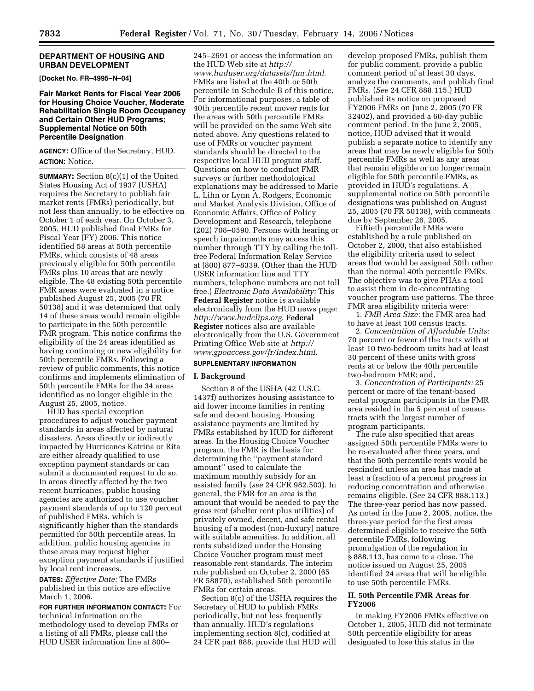#### **DEPARTMENT OF HOUSING AND URBAN DEVELOPMENT**

**[Docket No. FR–4995–N–04]** 

### **Fair Market Rents for Fiscal Year 2006 for Housing Choice Voucher, Moderate Rehabilitation Single Room Occupancy and Certain Other HUD Programs; Supplemental Notice on 50th Percentile Designation**

**AGENCY:** Office of the Secretary, HUD. **ACTION:** Notice.

**SUMMARY:** Section 8(c)(1) of the United States Housing Act of 1937 (USHA) requires the Secretary to publish fair market rents (FMRs) periodically, but not less than annually, to be effective on October 1 of each year. On October 3, 2005, HUD published final FMRs for Fiscal Year (FY) 2006. This notice identified 58 areas at 50th percentile FMRs, which consists of 48 areas previously eligible for 50th percentile FMRs plus 10 areas that are newly eligible. The 48 existing 50th percentile FMR areas were evaluated in a notice published August 25, 2005 (70 FR 50138) and it was determined that only 14 of these areas would remain eligible to participate in the 50th percentile FMR program. This notice confirms the eligibility of the 24 areas identified as having continuing or new eligibility for 50th percentile FMRs. Following a review of public comments, this notice confirms and implements elimination of 50th percentile FMRs for the 34 areas identified as no longer eligible in the August 25, 2005, notice.

HUD has special exception procedures to adjust voucher payment standards in areas affected by natural disasters. Areas directly or indirectly impacted by Hurricanes Katrina or Rita are either already qualified to use exception payment standards or can submit a documented request to do so. In areas directly affected by the two recent hurricanes, public housing agencies are authorized to use voucher payment standards of up to 120 percent of published FMRs, which is significantly higher than the standards permitted for 50th percentile areas. In addition, public housing agencies in these areas may request higher exception payment standards if justified by local rent increases.

**DATES:** *Effective Date:* The FMRs published in this notice are effective March 1, 2006.

**FOR FURTHER INFORMATION CONTACT:** For technical information on the methodology used to develop FMRs or a listing of all FMRs, please call the HUD USER information line at 800–

245–2691 or access the information on the HUD Web site at *http:// www.huduser.org/datasets/fmr.html*. FMRs are listed at the 40th or 50th percentile in Schedule B of this notice. For informational purposes, a table of 40th percentile recent mover rents for the areas with 50th percentile FMRs will be provided on the same Web site noted above. Any questions related to use of FMRs or voucher payment standards should be directed to the respective local HUD program staff. Questions on how to conduct FMR surveys or further methodological explanations may be addressed to Marie L. Lihn or Lynn A. Rodgers, Economic and Market Analysis Division, Office of Economic Affairs, Office of Policy Development and Research, telephone (202) 708–0590. Persons with hearing or speech impairments may access this number through TTY by calling the tollfree Federal Information Relay Service at (800) 877–8339. (Other than the HUD USER information line and TTY numbers, telephone numbers are not toll free.) *Electronic Data Availability:* This **Federal Register** notice is available electronically from the HUD news page: *http://www.hudclips.org*. **Federal Register** notices also are available electronically from the U.S. Government Printing Office Web site at *http:// www.gpoaccess.gov/fr/index.html*.

# **SUPPLEMENTARY INFORMATION**

#### **I. Background**

Section 8 of the USHA (42 U.S.C. 1437f) authorizes housing assistance to aid lower income families in renting safe and decent housing. Housing assistance payments are limited by FMRs established by HUD for different areas. In the Housing Choice Voucher program, the FMR is the basis for determining the ''payment standard amount'' used to calculate the maximum monthly subsidy for an assisted family (*see* 24 CFR 982.503). In general, the FMR for an area is the amount that would be needed to pay the gross rent (shelter rent plus utilities) of privately owned, decent, and safe rental housing of a modest (non-luxury) nature with suitable amenities. In addition, all rents subsidized under the Housing Choice Voucher program must meet reasonable rent standards. The interim rule published on October 2, 2000 (65 FR 58870), established 50th percentile FMRs for certain areas.

Section 8(c) of the USHA requires the Secretary of HUD to publish FMRs periodically, but not less frequently than annually. HUD's regulations implementing section 8(c), codified at 24 CFR part 888, provide that HUD will

develop proposed FMRs, publish them for public comment, provide a public comment period of at least 30 days, analyze the comments, and publish final FMRs. (*See* 24 CFR 888.115.) HUD published its notice on proposed FY2006 FMRs on June 2, 2005 (70 FR 32402), and provided a 60-day public comment period. In the June 2, 2005, notice, HUD advised that it would publish a separate notice to identify any areas that may be newly eligible for 50th percentile FMRs as well as any areas that remain eligible or no longer remain eligible for 50th percentile FMRs, as provided in HUD's regulations. A supplemental notice on 50th percentile designations was published on August 25, 2005 (70 FR 50138), with comments due by September 26, 2005.

Fiftieth percentile FMRs were established by a rule published on October 2, 2000, that also established the eligibility criteria used to select areas that would be assigned 50th rather than the normal 40th percentile FMRs. The objective was to give PHAs a tool to assist them in de-concentrating voucher program use patterns. The three FMR area eligibility criteria were:

1. *FMR Area Size:* the FMR area had to have at least 100 census tracts.

2. *Concentration of Affordable Units:*  70 percent or fewer of the tracts with at least 10 two-bedroom units had at least 30 percent of these units with gross rents at or below the 40th percentile two-bedroom FMR; and,

3. *Concentration of Participants:* 25 percent or more of the tenant-based rental program participants in the FMR area resided in the 5 percent of census tracts with the largest number of program participants.

The rule also specified that areas assigned 50th percentile FMRs were to be re-evaluated after three years, and that the 50th percentile rents would be rescinded unless an area has made at least a fraction of a percent progress in reducing concentration and otherwise remains eligible. (*See* 24 CFR 888.113.) The three-year period has now passed. As noted in the June 2, 2005, notice, the three-year period for the first areas determined eligible to receive the 50th percentile FMRs, following promulgation of the regulation in § 888.113, has come to a close. The notice issued on August 25, 2005 identified 24 areas that will be eligible to use 50th percentile FMRs.

# **II. 50th Percentile FMR Areas for FY2006**

In making FY2006 FMRs effective on October 1, 2005, HUD did not terminate 50th percentile eligibility for areas designated to lose this status in the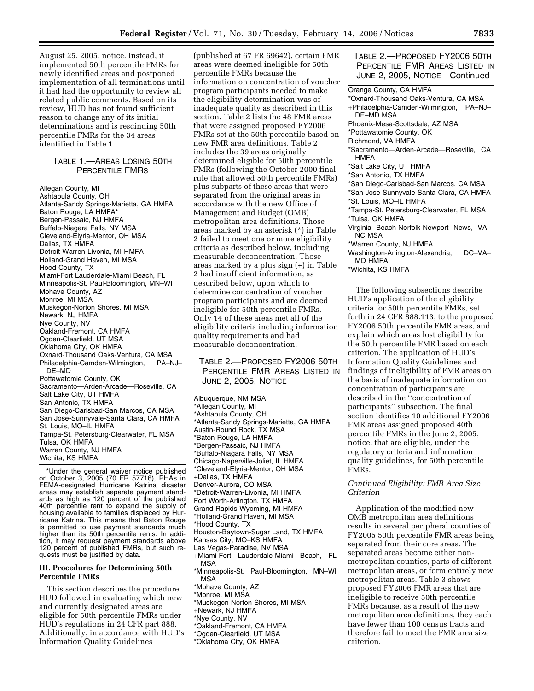August 25, 2005, notice. Instead, it implemented 50th percentile FMRs for newly identified areas and postponed implementation of all terminations until it had had the opportunity to review all related public comments. Based on its review, HUD has not found sufficient reason to change any of its initial determinations and is rescinding 50th percentile FMRs for the 34 areas identified in Table 1.

# TABLE 1.—AREAS LOSING 50TH PERCENTILE FMRS

Allegan County, MI Ashtabula County, OH Atlanta-Sandy Springs-Marietta, GA HMFA Baton Rouge, LA HMFA\* Bergen-Passaic, NJ HMFA Buffalo-Niagara Falls, NY MSA Cleveland-Elyria-Mentor, OH MSA Dallas, TX HMFA Detroit-Warren-Livonia, MI HMFA Holland-Grand Haven, MI MSA Hood County, TX Miami-Fort Lauderdale-Miami Beach, FL Minneapolis-St. Paul-Bloomington, MN–WI Mohave County, AZ Monroe, MI MSA Muskegon-Norton Shores, MI MSA Newark, NJ HMFA Nye County, NV Oakland-Fremont, CA HMFA Ogden-Clearfield, UT MSA Oklahoma City, OK HMFA Oxnard-Thousand Oaks-Ventura, CA MSA Philadelphia-Camden-Wilmington, PA–NJ– DE–MD Pottawatomie County, OK Sacramento—Arden-Arcade—Roseville, CA Salt Lake City, UT HMFA San Antonio, TX HMFA San Diego-Carlsbad-San Marcos, CA MSA San Jose-Sunnyvale-Santa Clara, CA HMFA St. Louis, MO–IL HMFA Tampa-St. Petersburg-Clearwater, FL MSA Tulsa, OK HMFA Warren County, NJ HMFA Wichita, KS HMFA

\*Under the general waiver notice published on October 3, 2005 (70 FR 57716), PHAs in FEMA-designated Hurricane Katrina disaster areas may establish separate payment standards as high as 120 percent of the published 40th percentile rent to expand the supply of housing available to families displaced by Hurricane Katrina. This means that Baton Rouge is permitted to use payment standards much higher than its 50th percentile rents. In addition, it may request payment standards above 120 percent of published FMRs, but such requests must be justified by data.

#### **III. Procedures for Determining 50th Percentile FMRs**

This section describes the procedure HUD followed in evaluating which new and currently designated areas are eligible for 50th percentile FMRs under HUD's regulations in 24 CFR part 888. Additionally, in accordance with HUD's Information Quality Guidelines

(published at 67 FR 69642), certain FMR areas were deemed ineligible for 50th percentile FMRs because the information on concentration of voucher program participants needed to make the eligibility determination was of inadequate quality as described in this section. Table 2 lists the 48 FMR areas that were assigned proposed FY2006 FMRs set at the 50th percentile based on new FMR area definitions. Table 2 includes the 39 areas originally determined eligible for 50th percentile FMRs (following the October 2000 final rule that allowed 50th percentile FMRs) plus subparts of these areas that were separated from the original areas in accordance with the new Office of Management and Budget (OMB) metropolitan area definitions. Those areas marked by an asterisk (\*) in Table 2 failed to meet one or more eligibility criteria as described below, including measurable deconcentration. Those areas marked by a plus sign (+) in Table 2 had insufficient information, as described below, upon which to determine concentration of voucher program participants and are deemed ineligible for 50th percentile FMRs. Only 14 of these areas met all of the eligibility criteria including information quality requirements and had measurable deconcentration.

# TABLE 2.—PROPOSED FY2006 50TH PERCENTILE FMR AREAS LISTED IN JUNE 2, 2005, NOTICE

Albuquerque, NM MSA \*Allegan County, MI \*Ashtabula County, OH \*Atlanta-Sandy Springs-Marietta, GA HMFA Austin-Round Rock, TX MSA \*Baton Rouge, LA HMFA \*Bergen-Passaic, NJ HMFA \*Buffalo-Niagara Falls, NY MSA Chicago-Naperville-Joliet, IL HMFA \*Cleveland-Elyria-Mentor, OH MSA +Dallas, TX HMFA Denver-Aurora, CO MSA \*Detroit-Warren-Livonia, MI HMFA Fort Worth-Arlington, TX HMFA Grand Rapids-Wyoming, MI HMFA \*Holland-Grand Haven, MI MSA \*Hood County, TX Houston-Baytown-Sugar Land, TX HMFA Kansas City, MO–KS HMFA Las Vegas-Paradise, NV MSA +Miami-Fort Lauderdale-Miami Beach, FL MSA \*Minneapolis-St. Paul-Bloomington, MN–WI MSA \*Mohave County, AZ \*Monroe, MI MSA \*Muskegon-Norton Shores, MI MSA +Newark, NJ HMFA \*Nye County, NV \*Oakland-Fremont, CA HMFA \*Ogden-Clearfield, UT MSA

\*Oklahoma City, OK HMFA

TABLE 2.—PROPOSED FY2006 50TH PERCENTILE FMR AREAS LISTED IN JUNE 2, 2005, NOTICE—Continued

Orange County, CA HMFA

\*Oxnard-Thousand Oaks-Ventura, CA MSA +Philadelphia-Camden-Wilmington, PA–NJ– DE–MD MSA Phoenix-Mesa-Scottsdale, AZ MSA \*Pottawatomie County, OK Richmond, VA HMFA \*Sacramento—Arden-Arcade—Roseville, CA **HMFA** 

\*Salt Lake City, UT HMFA

\*San Antonio, TX HMFA

\*San Diego-Carlsbad-San Marcos, CA MSA

\*San Jose-Sunnyvale-Santa Clara, CA HMFA

\*St. Louis, MO–IL HMFA

\*Tampa-St. Petersburg-Clearwater, FL MSA \*Tulsa, OK HMFA

Virginia Beach-Norfolk-Newport News, VA– NC MSA

\*Warren County, NJ HMFA

Washington-Arlington-Alexandria, DC-VA-MD HMFA

\*Wichita, KS HMFA

The following subsections describe HUD's application of the eligibility criteria for 50th percentile FMRs, set forth in 24 CFR 888.113, to the proposed FY2006 50th percentile FMR areas, and explain which areas lost eligibility for the 50th percentile FMR based on each criterion. The application of HUD's Information Quality Guidelines and findings of ineligibility of FMR areas on the basis of inadequate information on concentration of participants are described in the ''concentration of participants'' subsection. The final section identifies 10 additional FY2006 FMR areas assigned proposed 40th percentile FMRs in the June 2, 2005, notice, that are eligible, under the regulatory criteria and information quality guidelines, for 50th percentile FMRs.

# *Continued Eligibility: FMR Area Size Criterion*

Application of the modified new OMB metropolitan area definitions results in several peripheral counties of FY2005 50th percentile FMR areas being separated from their core areas. The separated areas become either nonmetropolitan counties, parts of different metropolitan areas, or form entirely new metropolitan areas. Table 3 shows proposed FY2006 FMR areas that are ineligible to receive 50th percentile FMRs because, as a result of the new metropolitan area definitions, they each have fewer than 100 census tracts and therefore fail to meet the FMR area size criterion.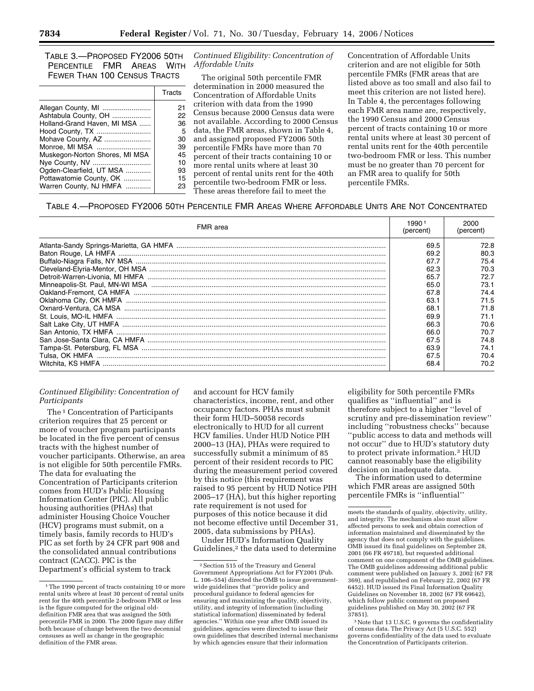TABLE 3.—PROPOSED FY2006 50TH PERCENTILE FMR AREAS WITH FEWER THAN 100 CENSUS TRACTS

|                                | Tracts |
|--------------------------------|--------|
| Allegan County, MI             | 21     |
| Ashtabula County, OH           | 22     |
| Holland-Grand Haven, MI MSA    | 36     |
| Hood County, TX                | .5     |
| Mohave County, AZ              | 30     |
| Monroe, MI MSA                 | 39     |
| Muskegon-Norton Shores, MI MSA | 45     |
| Nye County, NV                 | 10     |
| Ogden-Clearfield, UT MSA       | 93     |
| Pottawatomie County, OK        | 15     |
| Warren County, NJ HMFA         | 23     |
|                                |        |

*Continued Eligibility: Concentration of Affordable Units* 

The original 50th percentile FMR determination in 2000 measured the Concentration of Affordable Units criterion with data from the 1990 Census because 2000 Census data were not available. According to 2000 Census data, the FMR areas, shown in Table 4, and assigned proposed FY2006 50th percentile FMRs have more than 70 percent of their tracts containing 10 or more rental units where at least 30 percent of rental units rent for the 40th percentile two-bedroom FMR or less. These areas therefore fail to meet the

Concentration of Affordable Units criterion and are not eligible for 50th percentile FMRs (FMR areas that are listed above as too small and also fail to meet this criterion are not listed here). In Table 4, the percentages following each FMR area name are, respectively, the 1990 Census and 2000 Census percent of tracts containing 10 or more rental units where at least 30 percent of rental units rent for the 40th percentile two-bedroom FMR or less. This number must be no greater than 70 percent for an FMR area to qualify for 50th percentile FMRs.

TABLE 4.—PROPOSED FY2006 50TH PERCENTILE FMR AREAS WHERE AFFORDABLE UNITS ARE NOT CONCENTRATED

| FMR area | 990<br>(percent) | 2000<br>(percent) |
|----------|------------------|-------------------|
|          | 69.5             | 72.8              |
|          | 69.2             | 80.3              |
|          | 67.7             | 75.4              |
|          | 62.3             | 70.3              |
|          | 65.7             |                   |
|          | 65.0             | 73.1              |
|          | 67.8             | 74.4              |
|          |                  | 71.5              |
|          |                  | 71.8              |
|          |                  | 71.1              |
|          |                  | 70.6              |
|          |                  | 70.7              |
|          |                  | 74.8              |
|          | 63.9             | 74.1              |
|          | 67.5             | 70.4              |
|          | 68.4             | 70.2              |

### *Continued Eligibility: Concentration of Participants*

The <sup>1</sup> Concentration of Participants criterion requires that 25 percent or more of voucher program participants be located in the five percent of census tracts with the highest number of voucher participants. Otherwise, an area is not eligible for 50th percentile FMRs. The data for evaluating the Concentration of Participants criterion comes from HUD's Public Housing Information Center (PIC). All public housing authorities (PHAs) that administer Housing Choice Voucher (HCV) programs must submit, on a timely basis, family records to HUD's PIC as set forth by 24 CFR part 908 and the consolidated annual contributions contract (CACC). PIC is the Department's official system to track

and account for HCV family characteristics, income, rent, and other occupancy factors. PHAs must submit their form HUD–50058 records electronically to HUD for all current HCV families. Under HUD Notice PIH 2000–13 (HA), PHAs were required to successfully submit a minimum of 85 percent of their resident records to PIC during the measurement period covered by this notice (this requirement was raised to 95 percent by HUD Notice PIH 2005–17 (HA), but this higher reporting rate requirement is not used for purposes of this notice because it did not become effective until December 31, 2005, data submissions by PHAs).

Under HUD's Information Quality Guidelines,<sup>2</sup> the data used to determine eligibility for 50th percentile FMRs qualifies as ''influential'' and is therefore subject to a higher ''level of scrutiny and pre-dissemination review'' including ''robustness checks'' because ''public access to data and methods will not occur'' due to HUD's statutory duty to protect private information.3 HUD cannot reasonably base the eligibility decision on inadequate data.

The information used to determine which FMR areas are assigned 50th percentile FMRs is ''influential''

<sup>3</sup> Note that 13 U.S.C. 9 governs the confidentiality of census data. The Privacy Act (5 U.S.C. 552) governs confidentiality of the data used to evaluate the Concentration of Participants criterion.

<sup>&</sup>lt;sup>1</sup>The 1990 percent of tracts containing 10 or more rental units where at least 30 percent of rental units rent for the 40th percentile 2-bedroom FMR or less is the figure computed for the original olddefinition FMR area that was assigned the 50th percentile FMR in 2000. The 2000 figure may differ both because of change between the two decennial censuses as well as change in the geographic definition of the FMR areas.

<sup>2</sup>Section 515 of the Treasury and General Government Appropriations Act for FY2001 (Pub. L. 106–554) directed the OMB to issue governmentwide guidelines that ''provide policy and procedural guidance to federal agencies for ensuring and maximizing the quality, objectivity, utility, and integrity of information (including statistical information) disseminated by federal agencies.'' Within one year after OMB issued its guidelines, agencies were directed to issue their own guidelines that described internal mechanisms by which agencies ensure that their information

meets the standards of quality, objectivity, utility, and integrity. The mechanism also must allow affected persons to seek and obtain correction of information maintained and disseminated by the agency that does not comply with the guidelines. OMB issued its final guidelines on September 28, 2001 (66 FR 49718), but requested additional comment on one component of the OMB guidelines. The OMB guidelines addressing additional public comment were published on January 3, 2002 (67 FR 369), and republished on February 22, 2002 (67 FR 6452). HUD issued its Final Information Quality Guidelines on November 18, 2002 (67 FR 69642), which follow public comment on proposed guidelines published on May 30, 2002 (67 FR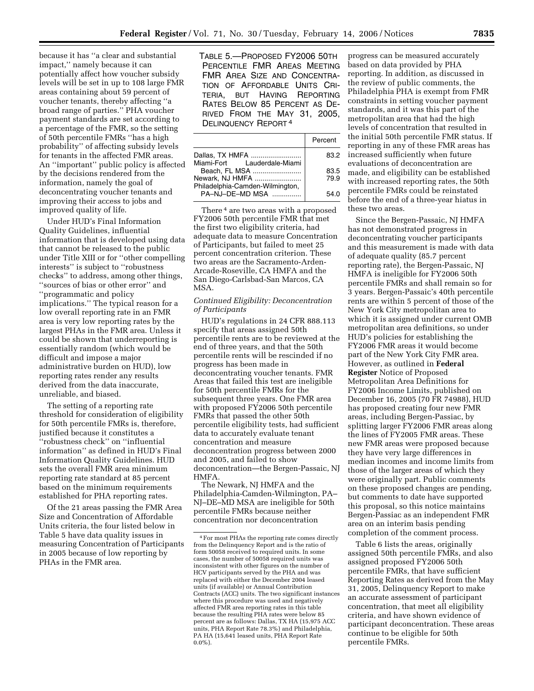because it has ''a clear and substantial impact,'' namely because it can potentially affect how voucher subsidy levels will be set in up to 108 large FMR areas containing about 59 percent of voucher tenants, thereby affecting ''a broad range of parties.'' PHA voucher payment standards are set according to a percentage of the FMR, so the setting of 50th percentile FMRs ''has a high probability'' of affecting subsidy levels for tenants in the affected FMR areas. An ''important'' public policy is affected by the decisions rendered from the information, namely the goal of deconcentrating voucher tenants and improving their access to jobs and improved quality of life.

Under HUD's Final Information Quality Guidelines, influential information that is developed using data that cannot be released to the public under Title XIII or for ''other compelling interests'' is subject to ''robustness checks'' to address, among other things, ''sources of bias or other error'' and ''programmatic and policy implications.'' The typical reason for a low overall reporting rate in an FMR area is very low reporting rates by the largest PHAs in the FMR area. Unless it could be shown that underreporting is essentially random (which would be difficult and impose a major administrative burden on HUD), low reporting rates render any results derived from the data inaccurate, unreliable, and biased.

The setting of a reporting rate threshold for consideration of eligibility for 50th percentile FMRs is, therefore, justified because it constitutes a ''robustness check'' on ''influential information'' as defined in HUD's Final Information Quality Guidelines. HUD sets the overall FMR area minimum reporting rate standard at 85 percent based on the minimum requirements established for PHA reporting rates.

Of the 21 areas passing the FMR Area Size and Concentration of Affordable Units criteria, the four listed below in Table 5 have data quality issues in measuring Concentration of Participants in 2005 because of low reporting by PHAs in the FMR area.

TABLE 5.—PROPOSED FY2006 50TH PERCENTILE FMR AREAS MEETING FMR AREA SIZE AND CONCENTRA-TION OF AFFORDABLE UNITS CRI-TERIA, BUT HAVING REPORTING RATES BELOW 85 PERCENT AS DE-RIVED FROM THE MAY 31, 2005, DELINQUENCY REPORT 4

|                                 | Percent |
|---------------------------------|---------|
| Dallas. TX HMFA                 | 83.2    |
| Miami-Fort Lauderdale-Miami     |         |
| Beach, FL MSA                   | 83.5    |
| Newark, NJ HMFA                 | 79.9    |
| Philadelphia-Camden-Wilmington, |         |
| PA-NJ-DE-MD MSA                 | 54 N    |
|                                 |         |

There<sup>4</sup> are two areas with a proposed FY2006 50th percentile FMR that met the first two eligibility criteria, had adequate data to measure Concentration of Participants, but failed to meet 25 percent concentration criterion. These two areas are the Sacramento-Arden-Arcade-Roseville, CA HMFA and the San Diego-Carlsbad-San Marcos, CA MSA.

### *Continued Eligibility: Deconcentration of Participants*

HUD's regulations in 24 CFR 888.113 specify that areas assigned 50th percentile rents are to be reviewed at the end of three years, and that the 50th percentile rents will be rescinded if no progress has been made in deconcentrating voucher tenants. FMR Areas that failed this test are ineligible for 50th percentile FMRs for the subsequent three years. One FMR area with proposed FY2006 50th percentile FMRs that passed the other 50th percentile eligibility tests, had sufficient data to accurately evaluate tenant concentration and measure deconcentration progress between 2000 and 2005, and failed to show deconcentration—the Bergen-Passaic, NJ HMFA.

The Newark, NJ HMFA and the Philadelphia-Camden-Wilmington, PA– NJ–DE–MD MSA are ineligible for 50th percentile FMRs because neither concentration nor deconcentration

progress can be measured accurately based on data provided by PHA reporting. In addition, as discussed in the review of public comments, the Philadelphia PHA is exempt from FMR constraints in setting voucher payment standards, and it was this part of the metropolitan area that had the high levels of concentration that resulted in the initial 50th percentile FMR status. If reporting in any of these FMR areas has increased sufficiently when future evaluations of deconcentration are made, and eligibility can be established with increased reporting rates, the 50th percentile FMRs could be reinstated before the end of a three-year hiatus in these two areas.

Since the Bergen-Passaic, NJ HMFA has not demonstrated progress in deconcentrating voucher participants and this measurement is made with data of adequate quality (85.7 percent reporting rate), the Bergen-Passaic, NJ HMFA is ineligible for FY2006 50th percentile FMRs and shall remain so for 3 years. Bergen-Passaic's 40th percentile rents are within 5 percent of those of the New York City metropolitan area to which it is assigned under current OMB metropolitan area definitions, so under HUD's policies for establishing the FY2006 FMR areas it would become part of the New York City FMR area. However, as outlined in **Federal Register** Notice of Proposed Metropolitan Area Definitions for FY2006 Income Limits, published on December 16, 2005 (70 FR 74988), HUD has proposed creating four new FMR areas, including Bergen-Passiac, by splitting larger FY2006 FMR areas along the lines of FY2005 FMR areas. These new FMR areas were proposed because they have very large differences in median incomes and income limits from those of the larger areas of which they were originally part. Public comments on these proposed changes are pending, but comments to date have supported this proposal, so this notice maintains Bergen-Passiac as an independent FMR area on an interim basis pending completion of the comment process.

Table 6 lists the areas, originally assigned 50th percentile FMRs, and also assigned proposed FY2006 50th percentile FMRs, that have sufficient Reporting Rates as derived from the May 31, 2005, Delinquency Report to make an accurate assessment of participant concentration, that meet all eligibility criteria, and have shown evidence of participant deconcentration. These areas continue to be eligible for 50th percentile FMRs.

<sup>4</sup>For most PHAs the reporting rate comes directly from the Delinquency Report and is the ratio of form 50058 received to required units. In some cases, the number of 50058 required units was inconsistent with other figures on the number of HCV participants served by the PHA and was replaced with either the December 2004 leased units (if available) or Annual Contribution Contracts (ACC) units. The two significant instances where this procedure was used and negatively affected FMR area reporting rates in this table because the resulting PHA rates were below 85 percent are as follows: Dallas, TX HA (15,975 ACC units, PHA Report Rate 78.3%) and Philadelphia, PA HA (15,641 leased units, PHA Report Rate 0.0%).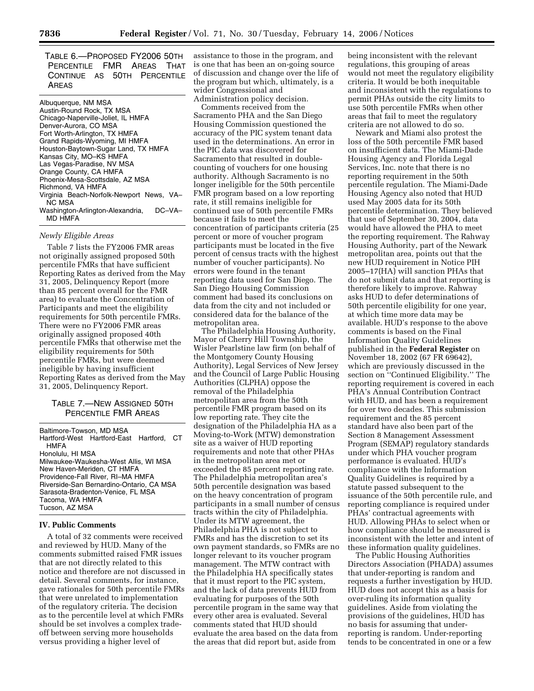TABLE 6.—PROPOSED FY2006 50TH PERCENTILE FMR AREAS THAT CONTINUE AS 50TH PERCENTILE AREAS

Albuquerque, NM MSA Austin-Round Rock, TX MSA Chicago-Naperville-Joliet, IL HMFA Denver-Aurora, CO MSA Fort Worth-Arlington, TX HMFA Grand Rapids-Wyoming, MI HMFA Houston-Baytown-Sugar Land, TX HMFA Kansas City, MO–KS HMFA Las Vegas-Paradise, NV MSA Orange County, CA HMFA Phoenix-Mesa-Scottsdale, AZ MSA Richmond, VA HMFA Virginia Beach-Norfolk-Newport News, VA– NC MSA Washington-Arlington-Alexandria, DC-VA-MD HMFA

#### *Newly Eligible Areas*

Table 7 lists the FY2006 FMR areas not originally assigned proposed 50th percentile FMRs that have sufficient Reporting Rates as derived from the May 31, 2005, Delinquency Report (more than 85 percent overall for the FMR area) to evaluate the Concentration of Participants and meet the eligibility requirements for 50th percentile FMRs. There were no FY2006 FMR areas originally assigned proposed 40th percentile FMRs that otherwise met the eligibility requirements for 50th percentile FMRs, but were deemed ineligible by having insufficient Reporting Rates as derived from the May 31, 2005, Delinquency Report.

# TABLE 7.—NEW ASSIGNED 50TH PERCENTILE FMR AREAS

Baltimore-Towson, MD MSA Hartford-West Hartford-East Hartford, CT HMFA Honolulu, HI MSA Milwaukee-Waukesha-West Allis, WI MSA New Haven-Meriden, CT HMFA Providence-Fall River, RI–MA HMFA Riverside-San Bernardino-Ontario, CA MSA Sarasota-Bradenton-Venice, FL MSA Tacoma, WA HMFA Tucson, AZ MSA

#### **IV. Public Comments**

A total of 32 comments were received and reviewed by HUD. Many of the comments submitted raised FMR issues that are not directly related to this notice and therefore are not discussed in detail. Several comments, for instance, gave rationales for 50th percentile FMRs that were unrelated to implementation of the regulatory criteria. The decision as to the percentile level at which FMRs should be set involves a complex tradeoff between serving more households versus providing a higher level of

assistance to those in the program, and is one that has been an on-going source of discussion and change over the life of the program but which, ultimately, is a wider Congressional and Administration policy decision.

Comments received from the Sacramento PHA and the San Diego Housing Commission questioned the accuracy of the PIC system tenant data used in the determinations. An error in the PIC data was discovered for Sacramento that resulted in doublecounting of vouchers for one housing authority. Although Sacramento is no longer ineligible for the 50th percentile FMR program based on a low reporting rate, it still remains ineligible for continued use of 50th percentile FMRs because it fails to meet the concentration of participants criteria (25 percent or more of voucher program participants must be located in the five percent of census tracts with the highest number of voucher participants). No errors were found in the tenant reporting data used for San Diego. The San Diego Housing Commission comment had based its conclusions on data from the city and not included or considered data for the balance of the metropolitan area.

The Philadelphia Housing Authority, Mayor of Cherry Hill Township, the Wisler Pearlstine law firm (on behalf of the Montgomery County Housing Authority), Legal Services of New Jersey and the Council of Large Public Housing Authorities (CLPHA) oppose the removal of the Philadelphia metropolitan area from the 50th percentile FMR program based on its low reporting rate. They cite the designation of the Philadelphia HA as a Moving-to-Work (MTW) demonstration site as a waiver of HUD reporting requirements and note that other PHAs in the metropolitan area met or exceeded the 85 percent reporting rate. The Philadelphia metropolitan area's 50th percentile designation was based on the heavy concentration of program participants in a small number of census tracts within the city of Philadelphia. Under its MTW agreement, the Philadelphia PHA is not subject to FMRs and has the discretion to set its own payment standards, so FMRs are no longer relevant to its voucher program management. The MTW contract with the Philadelphia HA specifically states that it must report to the PIC system, and the lack of data prevents HUD from evaluating for purposes of the 50th percentile program in the same way that every other area is evaluated. Several comments stated that HUD should evaluate the area based on the data from the areas that did report but, aside from

being inconsistent with the relevant regulations, this grouping of areas would not meet the regulatory eligibility criteria. It would be both inequitable and inconsistent with the regulations to permit PHAs outside the city limits to use 50th percentile FMRs when other areas that fail to meet the regulatory criteria are not allowed to do so.

Newark and Miami also protest the loss of the 50th percentile FMR based on insufficient data. The Miami-Dade Housing Agency and Florida Legal Services, Inc. note that there is no reporting requirement in the 50th percentile regulation. The Miami-Dade Housing Agency also noted that HUD used May 2005 data for its 50th percentile determination. They believed that use of September 30, 2004, data would have allowed the PHA to meet the reporting requirement. The Rahway Housing Authority, part of the Newark metropolitan area, points out that the new HUD requirement in Notice PIH 2005–17(HA) will sanction PHAs that do not submit data and that reporting is therefore likely to improve. Rahway asks HUD to defer determinations of 50th percentile eligibility for one year, at which time more data may be available. HUD's response to the above comments is based on the Final Information Quality Guidelines published in the **Federal Register** on November 18, 2002 (67 FR 69642), which are previously discussed in the section on ''Continued Eligibility.'' The reporting requirement is covered in each PHA's Annual Contribution Contract with HUD, and has been a requirement for over two decades. This submission requirement and the 85 percent standard have also been part of the Section 8 Management Assessment Program (SEMAP) regulatory standards under which PHA voucher program performance is evaluated. HUD's compliance with the Information Quality Guidelines is required by a statute passed subsequent to the issuance of the 50th percentile rule, and reporting compliance is required under PHAs' contractual agreements with HUD. Allowing PHAs to select when or how compliance should be measured is inconsistent with the letter and intent of these information quality guidelines.

The Public Housing Authorities Directors Association (PHADA) assumes that under-reporting is random and requests a further investigation by HUD. HUD does not accept this as a basis for over-ruling its information quality guidelines. Aside from violating the provisions of the guidelines, HUD has no basis for assuming that underreporting is random. Under-reporting tends to be concentrated in one or a few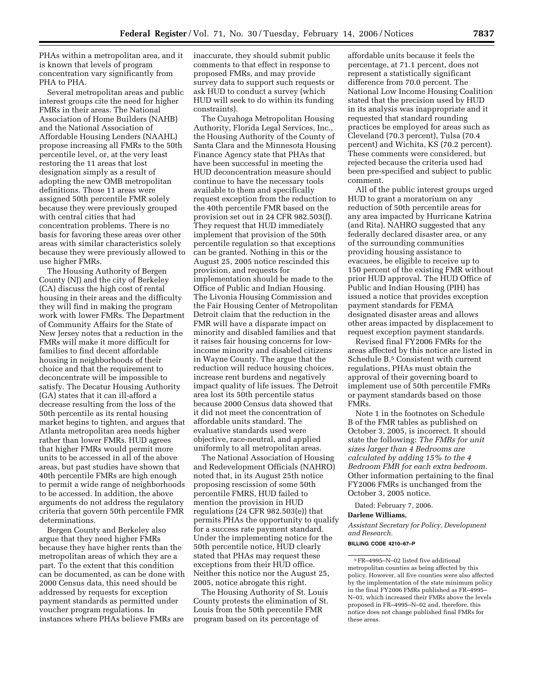PHAs within a metropolitan area, and it is known that levels of program concentration vary significantly from PHA to PHA.

Several metropolitan areas and public interest groups cite the need for higher FMRs in their areas. The National Association of Home Builders (NAHB) and the National Association of Affordable Housing Lenders (NAAHL) propose increasing all FMRs to the 50th percentile level, or, at the very least restoring the 11 areas that lost designation simply as a result of adopting the new OMB metropolitan definitions. Those 11 areas were assigned 50th percentile FMR solely because they were previously grouped with central cities that had concentration problems. There is no basis for favoring these areas over other areas with similar characteristics solely because they were previously allowed to use higher FMRs.

The Housing Authority of Bergen County (NJ) and the city of Berkeley (CA) discuss the high cost of rental housing in their areas and the difficulty they will find in making the program work with lower FMRs. The Department of Community Affairs for the State of New Jersey notes that a reduction in the FMRs will make it more difficult for families to find decent affordable housing in neighborhoods of their choice and that the requirement to deconcentrate will be impossible to satisfy. The Decatur Housing Authority (GA) states that it can ill-afford a decrease resulting from the loss of the 50th percentile as its rental housing market begins to tighten, and argues that Atlanta metropolitan area needs higher rather than lower FMRs. HUD agrees that higher FMRs would permit more units to be accessed in all of the above areas, but past studies have shown that 40th percentile FMRs are high enough to permit a wide range of neighborhoods to be accessed. In addition, the above arguments do not address the regulatory criteria that govern 50th percentile FMR determinations.

Bergen County and Berkeley also argue that they need higher FMRs because they have higher rents than the metropolitan areas of which they are a part. To the extent that this condition can be documented, as can be done with 2000 Census data, this need should be addressed by requests for exception payment standards as permitted under voucher program regulations. In instances where PHAs believe FMRs are

inaccurate, they should submit public comments to that effect in response to proposed FMRs, and may provide survey data to support such requests or ask HUD to conduct a survey (which HUD will seek to do within its funding constraints).

The Cuyahoga Metropolitan Housing Authority, Florida Legal Services, Inc., the Housing Authority of the County of Santa Clara and the Minnesota Housing Finance Agency state that PHAs that have been successful in meeting the HUD deconcentration measure should continue to have the necessary tools available to them and specifically request exception from the reduction to the 40th percentile FMR based on the provision set out in 24 CFR 982.503(f). They request that HUD immediately implement that provision of the 50th percentile regulation so that exceptions can be granted. Nothing in this or the August 25, 2005 notice rescinded this provision, and requests for implementation should be made to the Office of Public and Indian Housing. The Livonia Housing Commission and the Fair Housing Center of Metropolitan Detroit claim that the reduction in the FMR will have a disparate impact on minority and disabled families and that it raises fair housing concerns for lowincome minority and disabled citizens in Wayne County. The argue that the reduction will reduce housing choices, increase rent burdens and negatively impact quality of life issues. The Detroit area lost its 50th percentile status because 2000 Census data showed that it did not meet the concentration of affordable units standard. The evaluative standards used were objective, race-neutral, and applied uniformly to all metropolitan areas.

The National Association of Housing and Redevelopment Officials (NAHRO) noted that, in its August 25th notice proposing rescission of some 50th percentile FMRS, HUD failed to mention the provision in HUD regulations (24 CFR 982.503(e)) that permits PHAs the opportunity to qualify for a success rate payment standard. Under the implementing notice for the 50th percentile notice, HUD clearly stated that PHAs may request these exceptions from their HUD office. Neither this notice nor the August 25, 2005, notice abrogate this right.

The Housing Authority of St. Louis County protests the elimination of St. Louis from the 50th percentile FMR program based on its percentage of

affordable units because it feels the percentage, at 71.1 percent, does not represent a statistically significant difference from 70.0 percent. The National Low Income Housing Coalition stated that the precision used by HUD in its analysis was inappropriate and it requested that standard rounding practices be employed for areas such as Cleveland (70.3 percent), Tulsa (70.4 percent) and Wichita, KS (70.2 percent). These comments were considered, but rejected because the criteria used had been pre-specified and subject to public comment.

All of the public interest groups urged HUD to grant a moratorium on any reduction of 50th percentile areas for any area impacted by Hurricane Katrina (and Rita). NAHRO suggested that any federally declared disaster area, or any of the surrounding communities providing housing assistance to evacuees, be eligible to receive up to 150 percent of the existing FMR without prior HUD approval. The HUD Office of Public and Indian Housing (PIH) has issued a notice that provides exception payment standards for FEMA designated disaster areas and allows other areas impacted by displacement to request exception payment standards.

Revised final FY2006 FMRs for the areas affected by this notice are listed in Schedule B.5 Consistent with current regulations, PHAs must obtain the approval of their governing board to implement use of 50th percentile FMRs or payment standards based on those FMRs.

Note 1 in the footnotes on Schedule B of the FMR tables as published on October 3, 2005, is incorrect. It should state the following: *The FMRs for unit sizes larger than 4 Bedrooms are calculated by adding 15% to the 4 Bedroom FMR for each extra bedroom*. Other information pertaining to the final FY2006 FMRs is unchanged from the October 3, 2005 notice.

Dated: February 7, 2006.

**Darlene Williams,** 

*Assistant Secretary for Policy, Development and Research.* 

**BILLING CODE 4210–67–P** 

<sup>5</sup>FR–4995–N–02 listed five additional metropolitan counties as being affected by this policy. However, all five counties were also affected by the implementation of the state minimum policy in the final FY2006 FMRs published as FR–4995– N–03, which increased their FMRs above the levels proposed in FR–4995–N–02 and, therefore, this notice does not change published final FMRs for these areas.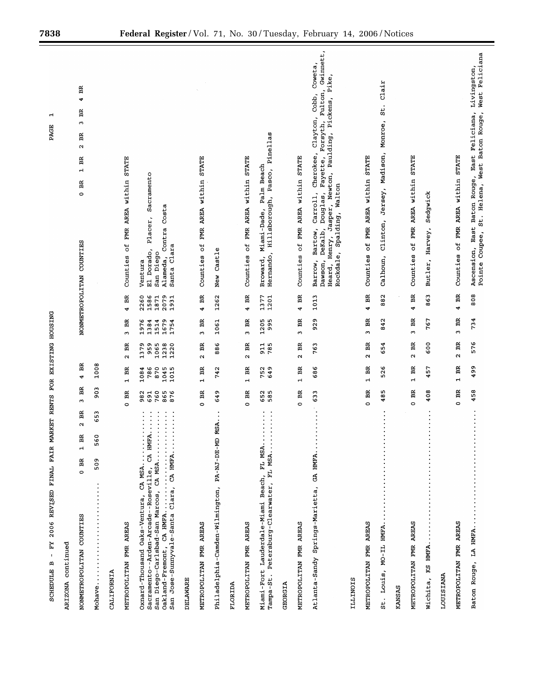| MARKET RENTS<br>2006 REVISED FINAL FAIR<br>ΗĀ<br>$\mathbf{r}$<br><b>SCHEDULE B</b>                                                                                                                                     | FOR                             |                                    | EXISTING HOUSING                    |                                      |                                      | H<br>PAGE                                                                                                                                                                                                                                                   |
|------------------------------------------------------------------------------------------------------------------------------------------------------------------------------------------------------------------------|---------------------------------|------------------------------------|-------------------------------------|--------------------------------------|--------------------------------------|-------------------------------------------------------------------------------------------------------------------------------------------------------------------------------------------------------------------------------------------------------------|
| ARIZONA continued                                                                                                                                                                                                      |                                 |                                    |                                     |                                      |                                      |                                                                                                                                                                                                                                                             |
| BR<br>$\sim$<br>œ,<br>m<br>$\mathbf{H}$<br>$0$ BR<br>NONMETROPOLITAN COUNTIES                                                                                                                                          | BR<br>ω                         | BR<br>$\ddot{\phantom{0}}$         |                                     |                                      |                                      | BR<br>4<br>BR<br>ω<br>Ã<br>$\mathbf{\Omega}$<br>BR<br>$\mathbf{r}$<br>BR<br>$\circ$<br>NONMETROPOLITAN COUNTIES                                                                                                                                             |
| 653<br>$\circ$<br>56<br>509<br>Mohave.                                                                                                                                                                                 | $\frac{3}{2}$                   | 1008                               |                                     |                                      |                                      |                                                                                                                                                                                                                                                             |
| CALIFORNIA                                                                                                                                                                                                             |                                 |                                    |                                     |                                      |                                      |                                                                                                                                                                                                                                                             |
| METROPOLITAN FMR AREAS                                                                                                                                                                                                 | 0B                              | Ã<br>$\mathbf{H}$                  | BR<br>$\mathbf{\Omega}$             | Ħ<br>$\mathbf{\tilde{c}}$            | 4 BR                                 | <b>STATE</b><br>within<br>Counties of FMR AREA                                                                                                                                                                                                              |
| $A \cdot \cdot$<br>Sacramento--Arden-Arcade--Roseville, CA HMF<br>San Diego-Carlsbad-San Marcos, CA MSA<br>Oakland-Fremont, CA HMFA<br>San Jose-Sunnyvale-Santa Clara, CA HMFA<br>Oxnard-Thousand Oaks-Ventura, CA MSA | 760<br>865<br>876<br>982<br>691 | 870<br>1045<br>1015<br>1084<br>786 | 959<br>1065<br>1220<br>1379<br>1238 | 1679<br>1976<br>1384<br>1514<br>1754 | 2260<br>1586<br>1871<br>2079<br>1931 | Sacramento<br>Costa<br>Placer,<br>Contra<br>Santa Clara<br>Dorado,<br>San Diego<br>Alameda,<br>Ventura<br>ជ                                                                                                                                                 |
| DELAWARE                                                                                                                                                                                                               |                                 |                                    |                                     |                                      |                                      |                                                                                                                                                                                                                                                             |
| METROPOLITAN FMR AREAS                                                                                                                                                                                                 | $0-BR$                          | Ã<br>$\overline{\phantom{0}}$      | BR<br>$\mathbf{\hat{z}}$            | Ã<br>m                               | BR<br>4                              | FMR AREA within STATE<br>Counties of                                                                                                                                                                                                                        |
| MSA.<br>Philadelphia-Camden-Wilmington, PA-NJ-DE-MD                                                                                                                                                                    | 649                             | 742                                | 886                                 | 1061                                 | 1262                                 | New Castle                                                                                                                                                                                                                                                  |
| FLORIDA                                                                                                                                                                                                                |                                 |                                    |                                     |                                      |                                      |                                                                                                                                                                                                                                                             |
| METROPOLITAN FMR AREAS                                                                                                                                                                                                 | 0 BR                            | $1-BR$                             | Ã<br>$\alpha$                       | Ã<br>$\tilde{c}$                     | 4 BR                                 | of FMR AREA within STATE<br>Counties                                                                                                                                                                                                                        |
| ۰<br>Tampa-St. Petersburg-Clearwater, FL MSA<br>Miami-Fort Lauderdale-Miami Beach, FL MSA.                                                                                                                             | 652<br>585                      | 752<br>649                         | 911<br>785                          | 1205<br>995                          | 1377<br>1201                         | Hernando, Hillsborough, Pasco, Pinellas<br>Palm Beach<br>Miami-Dade,<br>Broward,                                                                                                                                                                            |
| GEORGIA                                                                                                                                                                                                                |                                 |                                    |                                     |                                      |                                      |                                                                                                                                                                                                                                                             |
| METROPOLITAN FMR AREAS                                                                                                                                                                                                 | 0B                              | Ã<br>$\overline{a}$                | BR<br>$\mathbf{\Omega}$             | Ã<br>$\mathbf{\hat{z}}$              | BR<br>4                              | AREA within STATE<br>Counties of FMR                                                                                                                                                                                                                        |
| Atlanta-Sandy Springs-Marietta, GA HMFA                                                                                                                                                                                | ω<br>G3                         | 686                                | 763                                 | c<br>8                               | 1013                                 | Gwinnett,<br>Coweta,<br>Pike,<br>Fulton,<br>Cobb,<br>Jasper, Newton, Paulding, Pickens,<br>clayton,<br>Forsyth,<br>Carroll, Cherokee,<br>Fayette,<br>Rockdale, Spalding, Walton<br>Douglas,<br>Bartow,<br>DeKalb,<br>Henry,<br>Barrow,<br>Dawson,<br>Heard, |
| ILLINOIS                                                                                                                                                                                                               |                                 |                                    |                                     |                                      |                                      |                                                                                                                                                                                                                                                             |
| METROPOLITAN FMR AREAS                                                                                                                                                                                                 | 0BR                             | Ã<br>$\mathbf{H}$                  | BR<br>u                             | Ã<br>w                               | BR<br>4                              | <b>STATE</b><br>FMR AREA within<br>đ<br>Counties                                                                                                                                                                                                            |
| ٠<br>St. Louis, MO-IL HMFA.                                                                                                                                                                                            | m<br>$\frac{8}{4}$              | 526                                | 54<br>ن                             | 842                                  | 882                                  | $\frac{1}{2}$<br>st.<br>Monroe,<br>Madison,<br>Jersey,<br>Clinton,<br>Calhoun,                                                                                                                                                                              |
| KANSAS                                                                                                                                                                                                                 |                                 |                                    |                                     |                                      |                                      |                                                                                                                                                                                                                                                             |
| METROPOLITAN FMR AREAS                                                                                                                                                                                                 | 0B                              | Ã<br>$\overline{1}$                | BR<br>$\mathbf{\hat{c}}$            | Ã<br>ω                               | BR<br>4                              | AREA within STATE<br>FMR<br>Ъp<br>Counties                                                                                                                                                                                                                  |
| $\bullet$<br>Wichita, KS HMFA.                                                                                                                                                                                         | 408                             | 457                                | 600                                 | 767                                  | 863                                  | Sedgwick<br>Harvey,<br>Butler,                                                                                                                                                                                                                              |
| LOUISIANA                                                                                                                                                                                                              |                                 |                                    |                                     |                                      |                                      |                                                                                                                                                                                                                                                             |
| METROPOLITAN FMR AREAS                                                                                                                                                                                                 | Ã<br>$\circ$                    | Ã<br>$\blacksquare$                | BR<br>$\sim$                        | BR<br>S                              | Ã<br>4                               | <b>STATE</b><br>FMR AREA within<br>Counties of                                                                                                                                                                                                              |
| Baton Rouge, LA HMFA                                                                                                                                                                                                   | 458                             | 499                                | 576                                 | 734                                  | 808                                  | West Feliciana<br>Livingston,<br>East Feliciana,<br>Pointe Coupee, St. Helena, West Baton Rouge,<br>Baton Rouge,<br>East<br>Ascension,                                                                                                                      |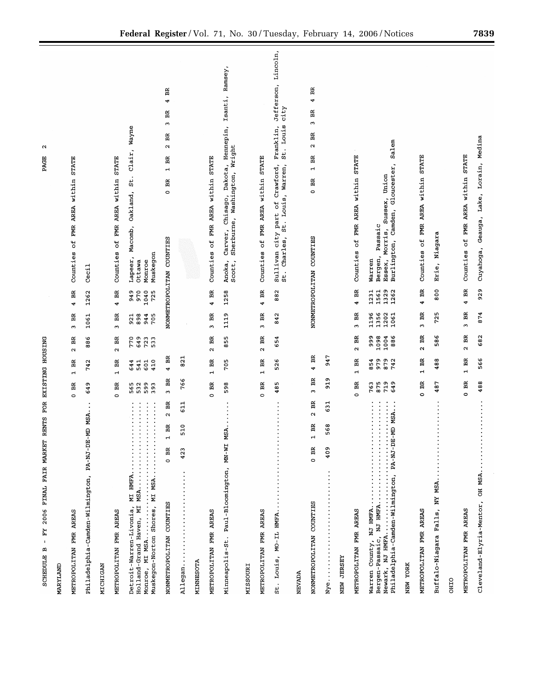| RENTS FOR EXISTING HOUSING<br>2006 FINAL FAIR MARKET<br>- FY<br><b>SCHEDULE B</b>                                                                                                                                                                                                   |                           |                               |                            |                              |                              | ω<br>PAGE                                                                                                                            |
|-------------------------------------------------------------------------------------------------------------------------------------------------------------------------------------------------------------------------------------------------------------------------------------|---------------------------|-------------------------------|----------------------------|------------------------------|------------------------------|--------------------------------------------------------------------------------------------------------------------------------------|
| MARYLAND                                                                                                                                                                                                                                                                            |                           |                               |                            |                              |                              |                                                                                                                                      |
| METROPOLITAN FMR AREAS                                                                                                                                                                                                                                                              | BR<br>$\circ$             | BR<br>$\blacksquare$          | Ã<br>$\mathbf{\sim}$       | Ã<br>$\omega$                | BR<br>4                      | Counties of FMR AREA within STATE                                                                                                    |
| Philadelphia-Camden-Wilmington, PA-NJ-DE-MD MSA.                                                                                                                                                                                                                                    | 649                       | 742                           | 886                        | 1061                         | 1262                         | Ceci1                                                                                                                                |
| MICHIGAN                                                                                                                                                                                                                                                                            |                           |                               |                            |                              |                              |                                                                                                                                      |
| METROPOLITAN FMR AREAS                                                                                                                                                                                                                                                              | $0$ BR                    | Å<br>$\overline{a}$           | BR<br>$\sim$               | BR<br>$\tilde{ }$            | 4 BR                         | Counties of FMR AREA within STATE                                                                                                    |
| $\frac{1}{2}$ , $\frac{1}{2}$ , $\frac{1}{2}$ , $\frac{1}{2}$ , $\frac{1}{2}$ , $\frac{1}{2}$ , $\frac{1}{2}$ , $\frac{1}{2}$ , $\frac{1}{2}$ , $\frac{1}{2}$<br>Monroe, MI MSA<br>Muskegon-Norton Shores, MI MSA<br>Detroit-Warren-Livonia, MI HMFA<br>Holland-Grand Haven, MI MSA | 599<br>393<br>565<br>532  | 410<br>644<br>541<br>601      | 770<br>649<br>723<br>533   | 921<br>898<br>705<br>944     | 949<br>970<br>1040<br>725    | Wayne<br>$_{\text{clair}}$<br>St.<br>Oakland,<br>Macomb,<br>Muskegon<br>Lapeer,<br>Ottawa<br>Monroe                                  |
| $2$ BR<br>$1$ BR<br>$0$ BR<br>NONMETROPOLITAN COUNTIES                                                                                                                                                                                                                              | BR<br>$\ddot{\mathbf{c}}$ | $4$ BR                        |                            |                              |                              | BR<br>4<br>Ã<br>$\mathbf{\tilde{c}}$<br>Ħ<br>$\mathbf{\Omega}$<br>BR<br>$\rightarrow$<br>Ã<br>$\circ$<br>NONMETROPOLITAN COUNTIES    |
| 611<br>510<br>423<br>MINNESOTA<br>Allegan.                                                                                                                                                                                                                                          | 766                       | 821                           |                            |                              |                              |                                                                                                                                      |
| METROPOLITAN FMR AREAS                                                                                                                                                                                                                                                              | $0$ BR                    | Ã<br>$\blacksquare$           | BR<br>$\mathbf{\hat{z}}$   | Ã<br>$\mathfrak{m}$          | $4$ BR                       | FMR AREA within STATE<br>Counties of                                                                                                 |
| MSA<br>Minneapolis-St. Paul-Bloomington, MN-WI                                                                                                                                                                                                                                      | 598                       | 705                           | 855                        | 1119                         | 1258                         | Ramsey,<br>Isanti,<br>Hennepin,<br>Sherburne, Washington, Wright<br>Dakota,<br>Chisago,<br>Carver,<br>Scott,<br>Anoka,               |
| NISSOURI                                                                                                                                                                                                                                                                            |                           |                               |                            |                              |                              |                                                                                                                                      |
| METROPOLITAN FMR AREAS                                                                                                                                                                                                                                                              | 0B                        | Ã<br>$\overline{a}$           | Ã<br>$\mathbf{\tilde{c}}$  | BR<br>ω                      | BR<br>4                      | FMR AREA within STATE<br>Counties of                                                                                                 |
| St. Louis, MO-IL HMFA.                                                                                                                                                                                                                                                              | w<br>48                   | 6<br>52                       | 654                        | 842                          | 882                          | Jefferson, Lincoln,<br>city<br>St. Louis<br>Franklin,<br>city part of Crawford,<br>St. Louis, Warren,<br>Charles,<br>Sullivan<br>st. |
| <b>NEVADA</b>                                                                                                                                                                                                                                                                       |                           |                               |                            |                              |                              |                                                                                                                                      |
| Ã<br>$\mathbf{\Omega}$<br>Ã<br>$\overline{r}$<br>0B<br>NONMETROPOLITAN COUNTIES                                                                                                                                                                                                     | Ã<br>$\mathbf{\hat{z}}$   | Ã<br>4                        |                            |                              |                              | BR<br>4<br>BR<br>S<br>BR<br>$\mathbf{\sim}$<br>Ã<br>$\mathbf{r}$<br>0B<br>NONMETROPOLITAN COUNTIES                                   |
| 631<br>568<br>409<br>$Nye$                                                                                                                                                                                                                                                          | o<br>51                   | 947                           |                            |                              |                              |                                                                                                                                      |
| NEW JERSEY                                                                                                                                                                                                                                                                          |                           |                               |                            |                              |                              |                                                                                                                                      |
| METROPOLITAN FMR AREAS                                                                                                                                                                                                                                                              | 0B                        | Ã<br>$\blacksquare$           | $2$ BR                     | BR<br>$\omega$               | BR<br>$\ddot{\phantom{0}}$   | <b>STATE</b><br>within<br>AREA<br>FMR<br>đ<br>Counties                                                                               |
| $\vdots$<br>Bergen-Passaic, NJ HMFA<br>Warren County, NJ HMFA.                                                                                                                                                                                                                      | 719<br>649<br>763<br>875  | 854<br>979<br>879<br>742      | 998<br>1098<br>886<br>1004 | 1196<br>1356<br>1202<br>1061 | 1329<br>1262<br>1231<br>1561 | Salem<br>Camden, Gloucester,<br>Morris, Sussex, Union<br>Passaic<br>Burlington,<br>Bergen,<br>Essex,<br>Warren                       |
| NEW YORK                                                                                                                                                                                                                                                                            |                           |                               |                            |                              |                              |                                                                                                                                      |
| METROPOLITAN FMR AREAS                                                                                                                                                                                                                                                              | 0B                        | Ã<br>$\overline{\phantom{0}}$ | BR<br>$\boldsymbol{\sim}$  | BR<br>ω                      | 4 BR                         | FMR AREA within STATE<br>đ<br>Counties                                                                                               |
| Buffalo-Niagara Falls, NY MSA.                                                                                                                                                                                                                                                      | 487                       | 488                           | 586                        | ю<br>72                      | 800                          | agara<br>Ź<br>Erie,                                                                                                                  |
| OHIO                                                                                                                                                                                                                                                                                |                           |                               |                            |                              |                              |                                                                                                                                      |
| METROPOLITAN FMR AREAS                                                                                                                                                                                                                                                              | Ã<br>$\circ$              | $1-BR$                        | Ã<br>$\mathbf{\Omega}$     | Ã<br>$\mathbf{c}$            | $4$ BR                       | of FMR AREA within STATE<br>Counties                                                                                                 |
| .<br>Cleveland-Elyria-Mentor, OH MSA                                                                                                                                                                                                                                                | 488                       | 566                           | 682                        | 874                          | 929                          | Cuyahoga, Geauga, Lake, Lorain, Medina                                                                                               |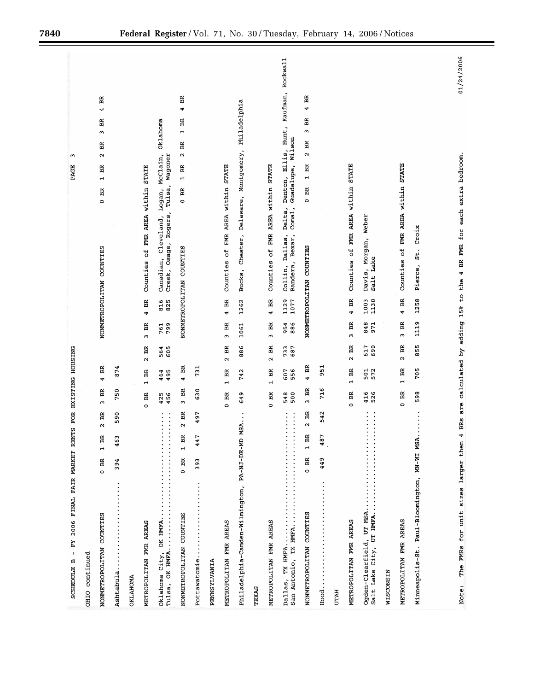| FY 2006 FINAL FAIR MARKET RENTS FOR EXISTING HOUSING<br>$\mathbf{I}$<br><b>SCHEDULE B</b>                         | ω<br>PAGE                                                                                                                                     |
|-------------------------------------------------------------------------------------------------------------------|-----------------------------------------------------------------------------------------------------------------------------------------------|
| OHIO continued                                                                                                    |                                                                                                                                               |
| BR<br>4<br>BR<br>ω<br>Ã<br>$\mathbf{\hat{z}}$<br>$\approx$<br>m<br>$\mathbf{r}$<br>0B<br>NONMETROPOLITAN COUNTIES | Ã<br>4<br>BR<br>$\mathbf{\hat{z}}$<br>BR<br>$\boldsymbol{\sim}$<br>BR<br>$\overline{\phantom{a}}$<br>$0$ BR<br>NONMETROPOLITAN COUNTIES       |
| 874<br>750<br>590<br>ω<br>$\frac{6}{5}$<br>394<br>Ashtabula                                                       |                                                                                                                                               |
| <b>OKLAHOMA</b>                                                                                                   |                                                                                                                                               |
| Ã<br>$\alpha$<br>BR<br>$\overline{a}$<br>0B<br>METROPOLITAN FMR AREAS                                             | Counties of FMR AREA within STATE<br>BR<br>4<br>$3$ BR                                                                                        |
| 605<br>564<br>464<br>495<br>425<br>456<br>$\vdots$<br>$\vdots$<br>Oklahoma City, OK HMFA<br>Tulsa, OK HMFA        | Oklahoma<br>McClain,<br>Wagoner<br>Tulsa,<br>Logan,<br>Rogers<br>Canadian, Cleveland,<br>Creek, Osage,<br>816<br>825<br>799<br>761            |
| 4 BR<br>$3$ BR<br>$2$ BR<br><b>PS</b><br>$\frac{a}{1}$<br>$0$ BR<br>NONMETROPOLITAN COUNTIES                      | Ã<br>÷<br>BR<br>$\tilde{c}$<br>Ã<br>$\mathbf{\Omega}$<br>BR<br>$\overline{1}$<br>0B<br>NONMETROPOLITAN COUNTIES                               |
| 731<br>630<br>497<br>r<br>44<br>393<br>Pottawatomie                                                               |                                                                                                                                               |
| PENNSYLVANIA                                                                                                      |                                                                                                                                               |
| $2$ BR<br>$1-BR$<br>0 <sub>BR</sub><br>METROPOLITAN FMR AREAS                                                     | Counties of FMR AREA within STATE<br>4 BR<br>BR<br>$\mathbf{r}$                                                                               |
| 886<br>742<br>649<br>MSA<br>Philadelphia-Camden-Wilmington, PA-NJ-DE-MD                                           | Chester, Delaware, Montgomery, Philadelphia<br>Bucks,<br>1262<br>1061                                                                         |
| TEXAS                                                                                                             |                                                                                                                                               |
| $2-BR$<br>$1-BR$<br>$0-BR$<br>METROPOLITAN FMR AREAS                                                              | Counties of FMR AREA within STATE<br>$4$ BR<br>$3-BR$                                                                                         |
| 733<br>687<br>607<br>556<br>548<br>500<br>$\ddot{.}$<br>.<br>San Antonio, TX HMFA<br>Dallas, TX HMFA              | Denton, Ellis, Hunt, Kaufman, Rockwall<br>Guadalupe, Wilson<br>Collin, Dallas, Delta,<br>Bandera, Bexar, Comal,<br>1129<br>1077<br>954<br>886 |
| Ã<br>4<br>Ã<br>$\tilde{c}$<br>$2$ BR<br>BR<br>$\overline{a}$<br>$0$ BR<br>NONMETROPOLITAN COUNTIES                | Ħ<br>4<br>BR<br>m<br>BR<br>$\mathbf{\hat{z}}$<br>BR<br>$\overline{a}$<br>0B<br>NONMETROPOLITAN COUNTIES                                       |
| 951<br>716<br>542<br>487<br>449<br>Hood                                                                           |                                                                                                                                               |
| <b>UTAH</b>                                                                                                       |                                                                                                                                               |
| Ã<br>$\mathbf{\tilde{c}}$<br>BR<br>$\mathbf{H}$<br>0B<br>METROPOLITAN FMR AREAS                                   | Counties of FMR AREA within STATE<br>4 BR<br>3BR                                                                                              |
| 617<br>690<br>501<br>572<br>416<br>526<br>$\vdots$<br>Salt Lake City, UT HMFA<br>Ogden-Clearfield, UT MSA         | Davis, Morgan, Weber<br>Lake<br>Salt<br>$1003$<br>$1130$<br>848<br>971                                                                        |
| <b>WISCONSIN</b>                                                                                                  |                                                                                                                                               |
| Ã<br>$\alpha$<br>员<br>$\overline{a}$<br>0B<br>METROPOLITAN FMR AREAS                                              | Counties of FMR AREA within STATE<br>4 BR<br>3BR                                                                                              |
| 855<br>705<br>598<br>Minneapolis-St. Paul-Bloomington, MN-WI MSA.                                                 | Croix<br>Pierce, St.<br>1258<br>1119                                                                                                          |
|                                                                                                                   |                                                                                                                                               |
| The FMRs for unit sizes larger then<br>Note:                                                                      | 01/24/2006<br>4 BRs are calculated by adding 15% to the 4 BR FMR for each extra bedroom.                                                      |